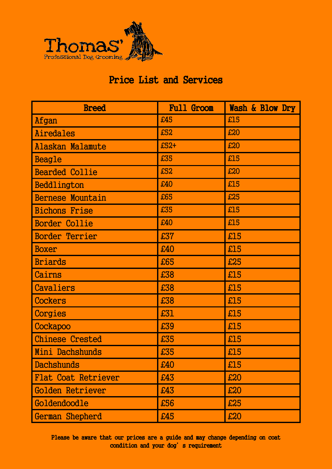

| <b>Breed</b>               | <b>Full Groom</b> | Wash & Blow Dry |
|----------------------------|-------------------|-----------------|
| Afgan                      | £45               | £15             |
| Airedales                  | £52               | £20             |
| Alaskan Malamute           | $£52+$            | £20             |
| <b>Beagle</b>              | £35               | £15             |
| <b>Bearded Collie</b>      | £52               | £20             |
| Beddlington                | £40               | £15             |
| <b>Bernese Mountain</b>    | £65               | £25             |
| <b>Bichons Frise</b>       | £35               | £15             |
| <b>Border Collie</b>       | £40               | £15             |
| <b>Border Terrier</b>      | £37               | £15             |
| <b>Boxer</b>               | £40               | £15             |
| <b>Briards</b>             | £65               | £25             |
| Cairns                     | £38               | £15             |
| Cavaliers                  | £38               | £15             |
| Cockers                    | £38               | £15             |
| Corgies                    | £31               | £15             |
| Cockapoo                   | £39               | £15             |
| <b>Chinese Crested</b>     | £35               | £15             |
| Mini Dachshunds            | £35               | £15             |
| Dachshunds                 | £40               | £15             |
| <b>Flat Coat Retriever</b> | £43               | £20             |
| Golden Retriever           | £43               | £20             |
| Goldendoodle               | £56               | £25             |
| German Shepherd            | £45               | £20             |

Please be aware that our prices are a guide and may change depending on coat condition and your dog's requirement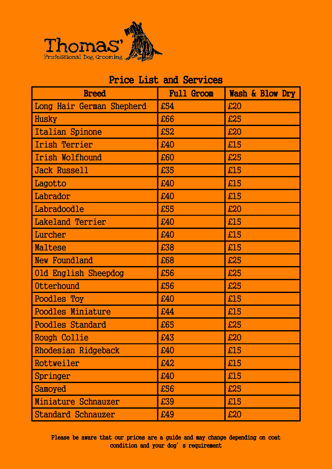

| <b>Breed</b>              | <b>Full Groom</b> | Wash & Blow Dry |
|---------------------------|-------------------|-----------------|
| Long Hair German Shepherd | £54               | £20             |
| <b>Husky</b>              | £66               | £25             |
| Italian Spinone           | £52               | £20             |
| Irish Terrier             | £40               | £15             |
| Irish Wolfhound           | £60               | £25             |
| <b>Jack Russell</b>       | £35               | £15             |
| Lagotto                   | £40               | £15             |
| Labrador                  | £40               | £15             |
| Labradoodle               | £55               | £20             |
| Lakeland Terrier          | £40               | £15             |
| Lurcher                   | £40               | £15             |
| Maltese                   | £38               | £15             |
| New Foundland             | £68               | £25             |
| 01d English Sheepdog      | £56               | £25             |
| Otterhound                | £56               | £25             |
| Poodles Toy               | £40               | £15             |
| <b>Poodles Miniature</b>  | £44               | £15             |
| <b>Poodles Standard</b>   | £65               | £25             |
| Rough Collie              | £43               | £20             |
| Rhodesian Ridgeback       | £40               | £15             |
| Rottweiler                | £42               | £15             |
| Springer                  | £40               | £15             |
| Samoyed                   | £56               | £25             |
| Miniature Schnauzer       | £39               | £15             |
| <b>Standard Schnauzer</b> | £49               | £20             |

Please be aware that our prices are a guide and may change depending on coat condition and your dog's requirement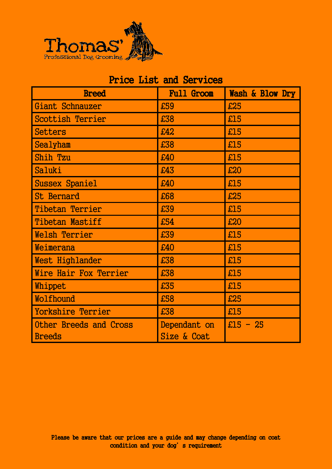

#### Price List and Services Breed Full Groom Wash & Blow Dry Giant Schnauzer  $\left| \right.$   $\left| \right.$   $\left| \right.$   $\left| \right.$   $\left| \right.$   $\left| \right.$   $\left| \right.$   $\left| \right.$   $\left| \right.$   $\left| \right.$   $\left| \right.$   $\left| \right.$   $\left| \right.$   $\left| \right.$   $\left| \right.$   $\left| \right.$   $\left| \right.$   $\left| \right.$   $\left| \right.$   $\left| \right.$   $\left| \right.$   $\left| \right.$   $\left| \right.$  $S$ cottish Terrier  $\left| \right|$  £38  $\left| \right|$  £15  $\text{Setters}$   $\left| \frac{1}{642} \right|$   $\left| \frac{15}{615} \right|$ Sealyham £38 £15  $\sinh$   $\frac{\pi}{40}$   $\sinh$   $\frac{\pi}{40}$ Saluki £43 £20 Sussex Spaniel £40 £15 St Bernard  $\left| \right|$   $\left| \right|$   $\left| \right|$   $\left| \right|$   $\left| \right|$   $\left| \right|$   $\left| \right|$   $\left| \right|$   $\left| \right|$   $\left| \right|$   $\left| \right|$   $\left| \right|$   $\left| \right|$   $\left| \right|$   $\left| \right|$   $\left| \right|$   $\left| \right|$   $\left| \right|$   $\left| \right|$   $\left| \right|$   $\left| \right|$   $\left| \right|$   $\left| \right|$   $\left$ Tibetan Terrier  $\left| \begin{array}{ccc} 1.39 & 1.15 \\ 1.39 & 1.15 \end{array} \right|$ Tibetan Mastiff **1.54 1.54 1.20** Welsh Terrier  $\left| \begin{array}{ccc} 1.39 & 1.15 \\ 1.39 & 1.15 \end{array} \right|$  $N$ eimerana  $\frac{1}{2}$   $\frac{1}{2}$   $\frac{1}{2}$   $\frac{1}{2}$   $\frac{1}{2}$   $\frac{1}{2}$   $\frac{1}{2}$   $\frac{1}{2}$   $\frac{1}{2}$   $\frac{1}{2}$   $\frac{1}{2}$   $\frac{1}{2}$   $\frac{1}{2}$   $\frac{1}{2}$   $\frac{1}{2}$   $\frac{1}{2}$   $\frac{1}{2}$   $\frac{1}{2}$   $\frac{1}{2}$   $\frac{1}{2}$   $\frac{1}{2}$ West Highlander  $\left| \right|$   $\frac{138}{25}$   $\left| \right|$   $\frac{15}{25}$ Wire Hair Fox Terrier  $\left| \right|$  £38  $\left| \right|$  £15 Whippet  $\left| \begin{array}{c} 255 \\ \end{array} \right|$  $N$ olfhound  $\left| \right|$   $\left| \right|$   $\left| \right|$   $\left| \right|$   $\left| \right|$   $\left| \right|$   $\left| \right|$   $\left| \right|$   $\left| \right|$   $\left| \right|$   $\left| \right|$   $\left| \right|$   $\left| \right|$   $\left| \right|$   $\left| \right|$   $\left| \right|$   $\left| \right|$   $\left| \right|$   $\left| \right|$   $\left| \right|$   $\left| \right|$   $\left| \right|$   $\left| \right|$   $\$ Yorkshire Terrier 238 215 Other Breeds and Cross **Breeds** Dependant on Size & Coat  $£15 - 25$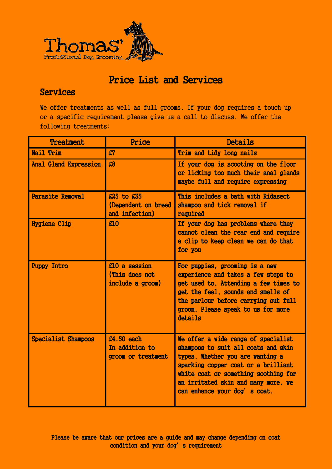

#### Services

We offer treatments as well as full grooms. If your dog requires a touch up or a specific requirement please give us a call to discuss. We offer the following treatments:

| <b>Treatment</b>           | Price                                               | Details                                                                                                                                                                                                                                                              |
|----------------------------|-----------------------------------------------------|----------------------------------------------------------------------------------------------------------------------------------------------------------------------------------------------------------------------------------------------------------------------|
| Nail Trim                  | £7                                                  | Trim and tidy long nails                                                                                                                                                                                                                                             |
| Anal Gland Expression      | £8                                                  | If your dog is scooting on the floor<br>or licking too much their anal glands<br>maybe full and require expressing                                                                                                                                                   |
| <b>Parasite Removal</b>    | £25 to £35<br>(Dependent on breed<br>and infection) | This includes a bath with Ridasect<br>shampoo and tick removal if<br>required                                                                                                                                                                                        |
| <b>Hygiene Clip</b>        | £10                                                 | If your dog has problems where they<br>cannot clean the rear end and require<br>a clip to keep clean we can do that<br>for you                                                                                                                                       |
| <b>Puppy Intro</b>         | £10 a session<br>(This does not<br>include a groom) | For puppies, grooming is a new<br>experience and takes a few steps to<br>get used to. Attending a few times to<br>get the feel, sounds and smells of<br>the parlour before carrying out full<br>groom. Please speak to us for more<br>details                        |
| <b>Specialist Shampoos</b> | £4.50 each<br>In addition to<br>groom or treatment  | We offer a wide range of specialist<br>shampoos to suit all coats and skin<br>types. Whether you are wanting a<br>sparking copper coat or a brilliant<br>white coat or something soothing for<br>an irritated skin and many more, we<br>can enhance your dog's coat. |

Please be aware that our prices are a guide and may change depending on coat condition and your dog's requirement